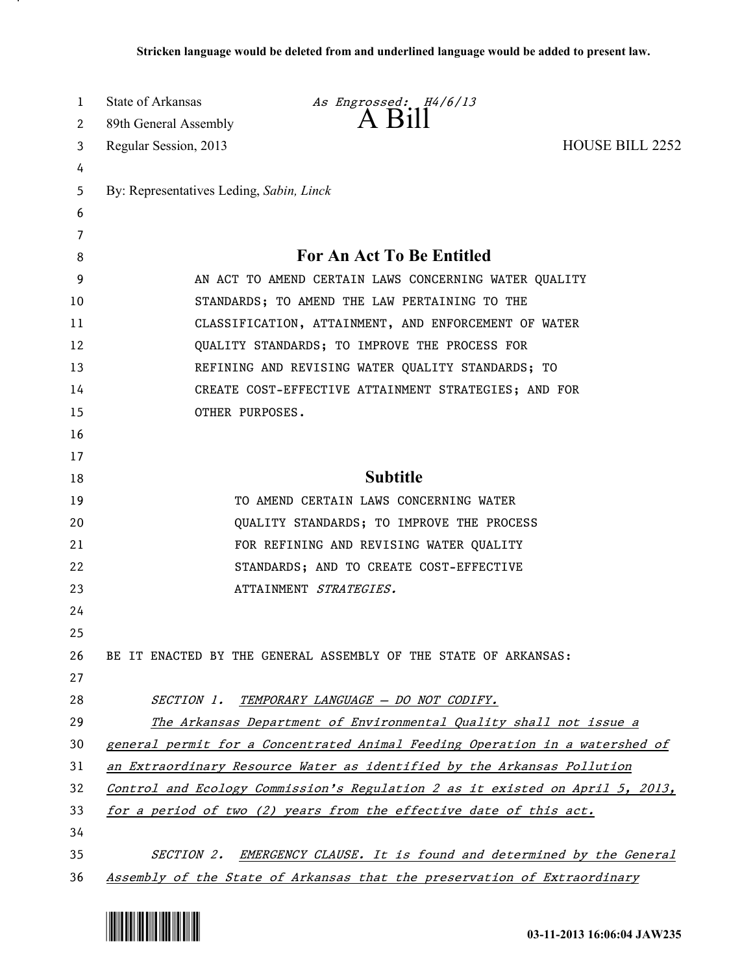| 1  | State of Arkansas                                                            | As Engrossed: H4/6/13                                                         |  |
|----|------------------------------------------------------------------------------|-------------------------------------------------------------------------------|--|
| 2  | 89th General Assembly                                                        | $A$ B <sub>1</sub> $\parallel$                                                |  |
| 3  | Regular Session, 2013                                                        | HOUSE BILL 2252                                                               |  |
| 4  |                                                                              |                                                                               |  |
| 5  | By: Representatives Leding, Sabin, Linck                                     |                                                                               |  |
| 6  |                                                                              |                                                                               |  |
| 7  |                                                                              |                                                                               |  |
| 8  |                                                                              | <b>For An Act To Be Entitled</b>                                              |  |
| 9  | AN ACT TO AMEND CERTAIN LAWS CONCERNING WATER QUALITY                        |                                                                               |  |
| 10 |                                                                              | STANDARDS; TO AMEND THE LAW PERTAINING TO THE                                 |  |
| 11 |                                                                              | CLASSIFICATION, ATTAINMENT, AND ENFORCEMENT OF WATER                          |  |
| 12 |                                                                              | QUALITY STANDARDS; TO IMPROVE THE PROCESS FOR                                 |  |
| 13 |                                                                              | REFINING AND REVISING WATER QUALITY STANDARDS; TO                             |  |
| 14 |                                                                              | CREATE COST-EFFECTIVE ATTAINMENT STRATEGIES; AND FOR                          |  |
| 15 | OTHER PURPOSES.                                                              |                                                                               |  |
| 16 |                                                                              |                                                                               |  |
| 17 |                                                                              |                                                                               |  |
| 18 |                                                                              | <b>Subtitle</b>                                                               |  |
| 19 |                                                                              | TO AMEND CERTAIN LAWS CONCERNING WATER                                        |  |
| 20 |                                                                              | QUALITY STANDARDS; TO IMPROVE THE PROCESS                                     |  |
| 21 |                                                                              | FOR REFINING AND REVISING WATER QUALITY                                       |  |
| 22 |                                                                              | STANDARDS; AND TO CREATE COST-EFFECTIVE                                       |  |
| 23 |                                                                              | ATTAINMENT STRATEGIES.                                                        |  |
| 24 |                                                                              |                                                                               |  |
| 25 |                                                                              |                                                                               |  |
| 26 |                                                                              | BE IT ENACTED BY THE GENERAL ASSEMBLY OF THE STATE OF ARKANSAS:               |  |
| 27 |                                                                              |                                                                               |  |
| 28 |                                                                              | SECTION 1. TEMPORARY LANGUAGE - DO NOT CODIFY.                                |  |
| 29 |                                                                              | The Arkansas Department of Environmental Quality shall not issue a            |  |
| 30 | general permit for a Concentrated Animal Feeding Operation in a watershed of |                                                                               |  |
| 31 | an Extraordinary Resource Water as identified by the Arkansas Pollution      |                                                                               |  |
| 32 |                                                                              | Control and Ecology Commission's Regulation 2 as it existed on April 5, 2013, |  |
| 33 |                                                                              | for a period of two (2) years from the effective date of this act.            |  |
| 34 |                                                                              |                                                                               |  |
| 35 |                                                                              | SECTION 2. EMERGENCY CLAUSE. It is found and determined by the General        |  |
| 36 |                                                                              | Assembly of the State of Arkansas that the preservation of Extraordinary      |  |



.